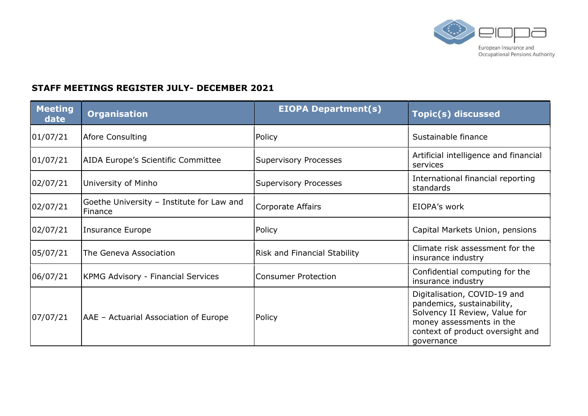

## STAFF MEETINGS REGISTER JULY- DECEMBER 2021

| <b>Meeting</b><br>date | <b>Organisation</b>                                  | <b>EIOPA Department(s)</b>          | <b>Topic(s) discussed</b>                                                                                                                                                 |
|------------------------|------------------------------------------------------|-------------------------------------|---------------------------------------------------------------------------------------------------------------------------------------------------------------------------|
| 01/07/21               | Afore Consulting                                     | Policy                              | Sustainable finance                                                                                                                                                       |
| 01/07/21               | AIDA Europe's Scientific Committee                   | Supervisory Processes               | Artificial intelligence and financial<br>services                                                                                                                         |
| 02/07/21               | University of Minho                                  | <b>Supervisory Processes</b>        | International financial reporting<br>standards                                                                                                                            |
| 02/07/21               | Goethe University - Institute for Law and<br>Finance | Corporate Affairs                   | EIOPA's work                                                                                                                                                              |
| 02/07/21               | Insurance Europe                                     | Policy                              | Capital Markets Union, pensions                                                                                                                                           |
| 05/07/21               | The Geneva Association                               | <b>Risk and Financial Stability</b> | Climate risk assessment for the<br>insurance industry                                                                                                                     |
| 06/07/21               | <b>KPMG Advisory - Financial Services</b>            | Consumer Protection                 | Confidential computing for the<br>insurance industry                                                                                                                      |
| 07/07/21               | AAE - Actuarial Association of Europe                | Policy                              | Digitalisation, COVID-19 and<br>pandemics, sustainability,<br>Solvency II Review, Value for<br>money assessments in the<br>context of product oversight and<br>governance |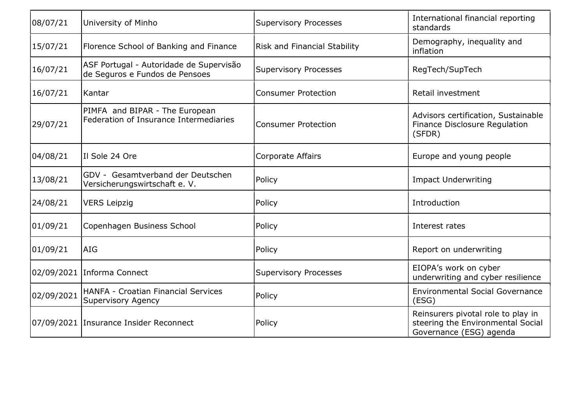| 08/07/21   | University of Minho                                                       | <b>Supervisory Processes</b> | International financial reporting<br>standards                                                     |
|------------|---------------------------------------------------------------------------|------------------------------|----------------------------------------------------------------------------------------------------|
| 15/07/21   | Florence School of Banking and Finance                                    | Risk and Financial Stability | Demography, inequality and<br>inflation                                                            |
| 16/07/21   | ASF Portugal - Autoridade de Supervisão<br>de Seguros e Fundos de Pensoes | <b>Supervisory Processes</b> | RegTech/SupTech                                                                                    |
| 16/07/21   | Kantar                                                                    | <b>Consumer Protection</b>   | Retail investment                                                                                  |
| 29/07/21   | PIMFA and BIPAR - The European<br>Federation of Insurance Intermediaries  | <b>Consumer Protection</b>   | Advisors certification, Sustainable<br>Finance Disclosure Regulation<br>(SFDR)                     |
| 04/08/21   | II Sole 24 Ore                                                            | <b>Corporate Affairs</b>     | Europe and young people                                                                            |
| 13/08/21   | GDV - Gesamtverband der Deutschen<br>Versicherungswirtschaft e. V.        | Policy                       | <b>Impact Underwriting</b>                                                                         |
| 24/08/21   | <b>VERS Leipzig</b>                                                       | Policy                       | Introduction                                                                                       |
| 01/09/21   | Copenhagen Business School                                                | Policy                       | Interest rates                                                                                     |
| 01/09/21   | lAIG                                                                      | Policy                       | Report on underwriting                                                                             |
|            | 02/09/2021 Informa Connect                                                | <b>Supervisory Processes</b> | EIOPA's work on cyber<br>underwriting and cyber resilience                                         |
| 02/09/2021 | <b>HANFA - Croatian Financial Services</b><br><b>Supervisory Agency</b>   | Policy                       | <b>Environmental Social Governance</b><br>(ESS)                                                    |
|            | 07/09/2021 Insurance Insider Reconnect                                    | Policy                       | Reinsurers pivotal role to play in<br>steering the Environmental Social<br>Governance (ESG) agenda |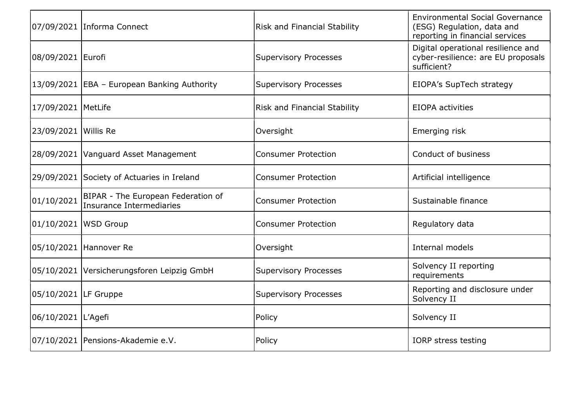|                        | 07/09/2021 Informa Connect                                     | <b>Risk and Financial Stability</b> | <b>Environmental Social Governance</b><br>(ESG) Regulation, data and<br>reporting in financial services |
|------------------------|----------------------------------------------------------------|-------------------------------------|---------------------------------------------------------------------------------------------------------|
| 08/09/2021 Eurofi      |                                                                | <b>Supervisory Processes</b>        | Digital operational resilience and<br>cyber-resilience: are EU proposals<br>sufficient?                 |
|                        | 13/09/2021   EBA - European Banking Authority                  | <b>Supervisory Processes</b>        | EIOPA's SupTech strategy                                                                                |
| 17/09/2021   MetLife   |                                                                | <b>Risk and Financial Stability</b> | <b>EIOPA</b> activities                                                                                 |
| 23/09/2021 Willis Re   |                                                                | Oversight                           | Emerging risk                                                                                           |
|                        | 28/09/2021   Vanguard Asset Management                         | <b>Consumer Protection</b>          | Conduct of business                                                                                     |
|                        | 29/09/2021 Society of Actuaries in Ireland                     | <b>Consumer Protection</b>          | Artificial intelligence                                                                                 |
| 01/10/2021             | BIPAR - The European Federation of<br>Insurance Intermediaries | <b>Consumer Protection</b>          | Sustainable finance                                                                                     |
| 01/10/2021   WSD Group |                                                                | <b>Consumer Protection</b>          | Regulatory data                                                                                         |
|                        | 05/10/2021 Hannover Re                                         | Oversight                           | Internal models                                                                                         |
|                        | 05/10/2021   Versicherungsforen Leipzig GmbH                   | <b>Supervisory Processes</b>        | Solvency II reporting<br>requirements                                                                   |
| 05/10/2021 LF Gruppe   |                                                                | <b>Supervisory Processes</b>        | Reporting and disclosure under<br>Solvency II                                                           |
| 06/10/2021 L'Agefi     |                                                                | Policy                              | Solvency II                                                                                             |
|                        | 07/10/2021   Pensions-Akademie e.V.                            | Policy                              | IORP stress testing                                                                                     |
|                        |                                                                |                                     |                                                                                                         |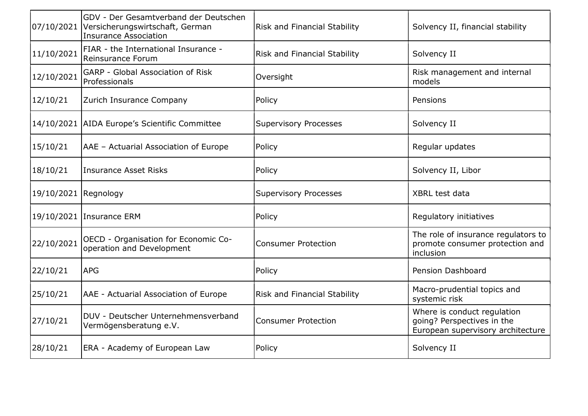| 07/10/2021           | GDV - Der Gesamtverband der Deutschen<br>Versicherungswirtschaft, German<br><b>Insurance Association</b> | <b>Risk and Financial Stability</b> | Solvency II, financial stability                                                               |
|----------------------|----------------------------------------------------------------------------------------------------------|-------------------------------------|------------------------------------------------------------------------------------------------|
| 11/10/2021           | FIAR - the International Insurance -<br>Reinsurance Forum                                                | Risk and Financial Stability        | Solvency II                                                                                    |
| 12/10/2021           | GARP - Global Association of Risk<br>Professionals                                                       | Oversight                           | Risk management and internal<br>models                                                         |
| 12/10/21             | Zurich Insurance Company                                                                                 | Policy                              | Pensions                                                                                       |
|                      | 14/10/2021 AIDA Europe's Scientific Committee                                                            | Supervisory Processes               | Solvency II                                                                                    |
| 15/10/21             | AAE - Actuarial Association of Europe                                                                    | Policy                              | Regular updates                                                                                |
| 18/10/21             | <b>Insurance Asset Risks</b>                                                                             | Policy                              | Solvency II, Libor                                                                             |
| 19/10/2021 Regnology |                                                                                                          | <b>Supervisory Processes</b>        | XBRL test data                                                                                 |
|                      | 19/10/2021 Insurance ERM                                                                                 | Policy                              | Regulatory initiatives                                                                         |
| 22/10/2021           | OECD - Organisation for Economic Co-<br>operation and Development                                        | <b>Consumer Protection</b>          | The role of insurance regulators to<br>promote consumer protection and<br>inclusion            |
| 22/10/21             | <b>APG</b>                                                                                               | Policy                              | Pension Dashboard                                                                              |
| 25/10/21             | AAE - Actuarial Association of Europe                                                                    | Risk and Financial Stability        | Macro-prudential topics and<br>systemic risk                                                   |
| 27/10/21             | DUV - Deutscher Unternehmensverband<br>Vermögensberatung e.V.                                            | <b>Consumer Protection</b>          | Where is conduct regulation<br>going? Perspectives in the<br>European supervisory architecture |
| 28/10/21             | ERA - Academy of European Law                                                                            | Policy                              | Solvency II                                                                                    |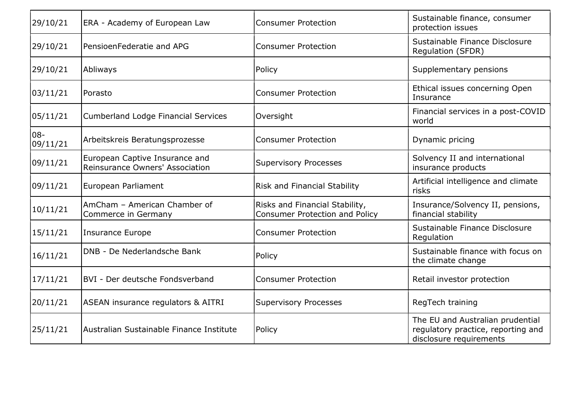| 29/10/21        | ERA - Academy of European Law                                     | <b>Consumer Protection</b>                                       | Sustainable finance, consumer<br>protection issues                                                |
|-----------------|-------------------------------------------------------------------|------------------------------------------------------------------|---------------------------------------------------------------------------------------------------|
| 29/10/21        | PensioenFederatie and APG                                         | <b>Consumer Protection</b>                                       | Sustainable Finance Disclosure<br><b>Regulation (SFDR)</b>                                        |
| 29/10/21        | Abliways                                                          | Policy                                                           | Supplementary pensions                                                                            |
| 03/11/21        | Porasto                                                           | <b>Consumer Protection</b>                                       | Ethical issues concerning Open<br>Insurance                                                       |
| 05/11/21        | <b>Cumberland Lodge Financial Services</b>                        | Oversight                                                        | Financial services in a post-COVID<br>world                                                       |
| 08-<br>09/11/21 | Arbeitskreis Beratungsprozesse                                    | <b>Consumer Protection</b>                                       | Dynamic pricing                                                                                   |
| 09/11/21        | European Captive Insurance and<br>Reinsurance Owners' Association | <b>Supervisory Processes</b>                                     | Solvency II and international<br>insurance products                                               |
| 09/11/21        | European Parliament                                               | Risk and Financial Stability                                     | Artificial intelligence and climate<br>risks                                                      |
| 10/11/21        | AmCham - American Chamber of<br>Commerce in Germany               | Risks and Financial Stability,<br>Consumer Protection and Policy | Insurance/Solvency II, pensions,<br>financial stability                                           |
| 15/11/21        | <b>Insurance Europe</b>                                           | <b>Consumer Protection</b>                                       | Sustainable Finance Disclosure<br>Regulation                                                      |
| 16/11/21        | DNB - De Nederlandsche Bank                                       | Policy                                                           | Sustainable finance with focus on<br>the climate change                                           |
| 17/11/21        | BVI - Der deutsche Fondsverband                                   | <b>Consumer Protection</b>                                       | Retail investor protection                                                                        |
| 20/11/21        | ASEAN insurance regulators & AITRI                                | <b>Supervisory Processes</b>                                     | RegTech training                                                                                  |
| 25/11/21        | Australian Sustainable Finance Institute                          | Policy                                                           | The EU and Australian prudential<br>regulatory practice, reporting and<br>disclosure requirements |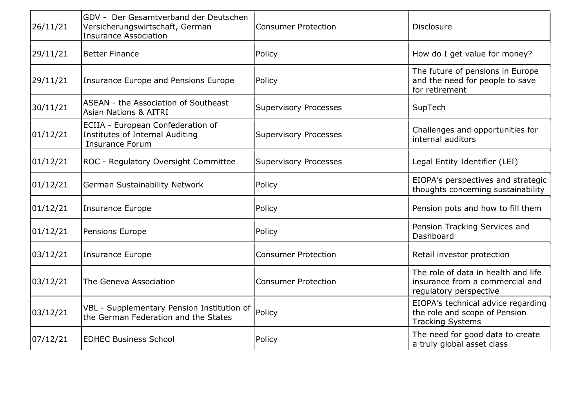| 26/11/21 | GDV - Der Gesamtverband der Deutschen<br>Versicherungswirtschaft, German<br><b>Insurance Association</b> | <b>Consumer Protection</b>   | <b>Disclosure</b>                                                                                |
|----------|----------------------------------------------------------------------------------------------------------|------------------------------|--------------------------------------------------------------------------------------------------|
| 29/11/21 | <b>Better Finance</b>                                                                                    | Policy                       | How do I get value for money?                                                                    |
| 29/11/21 | Insurance Europe and Pensions Europe                                                                     | Policy                       | The future of pensions in Europe<br>and the need for people to save<br>for retirement            |
| 30/11/21 | ASEAN - the Association of Southeast<br><b>Asian Nations &amp; AITRI</b>                                 | <b>Supervisory Processes</b> | SupTech                                                                                          |
| 01/12/21 | ECIIA - European Confederation of<br><b>Institutes of Internal Auditing</b><br><b>Insurance Forum</b>    | Supervisory Processes        | Challenges and opportunities for<br>internal auditors                                            |
| 01/12/21 | ROC - Regulatory Oversight Committee                                                                     | Supervisory Processes        | Legal Entity Identifier (LEI)                                                                    |
| 01/12/21 | German Sustainability Network                                                                            | Policy                       | EIOPA's perspectives and strategic<br>thoughts concerning sustainability                         |
| 01/12/21 | <b>Insurance Europe</b>                                                                                  | Policy                       | Pension pots and how to fill them                                                                |
| 01/12/21 | Pensions Europe                                                                                          | Policy                       | Pension Tracking Services and<br>Dashboard                                                       |
| 03/12/21 | <b>Insurance Europe</b>                                                                                  | <b>Consumer Protection</b>   | Retail investor protection                                                                       |
| 03/12/21 | The Geneva Association                                                                                   | <b>Consumer Protection</b>   | The role of data in health and life<br>insurance from a commercial and<br>regulatory perspective |
| 03/12/21 | VBL - Supplementary Pension Institution of<br>the German Federation and the States                       | Policy                       | EIOPA's technical advice regarding<br>the role and scope of Pension<br><b>Tracking Systems</b>   |
| 07/12/21 | <b>EDHEC Business School</b>                                                                             | Policy                       | The need for good data to create<br>a truly global asset class                                   |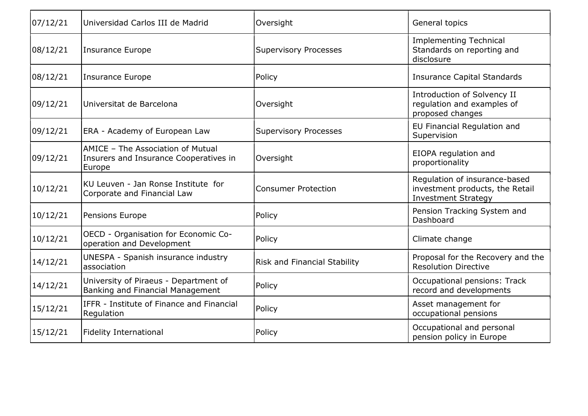| 07/12/21 | Universidad Carlos III de Madrid                                                      | Oversight                           | General topics                                                                                 |
|----------|---------------------------------------------------------------------------------------|-------------------------------------|------------------------------------------------------------------------------------------------|
| 08/12/21 | Insurance Europe                                                                      | <b>Supervisory Processes</b>        | <b>Implementing Technical</b><br>Standards on reporting and<br>disclosure                      |
| 08/12/21 | <b>Insurance Europe</b>                                                               | Policy                              | <b>Insurance Capital Standards</b>                                                             |
| 09/12/21 | Universitat de Barcelona                                                              | Oversight                           | Introduction of Solvency II<br>regulation and examples of<br>proposed changes                  |
| 09/12/21 | ERA - Academy of European Law                                                         | <b>Supervisory Processes</b>        | EU Financial Regulation and<br>Supervision                                                     |
| 09/12/21 | AMICE - The Association of Mutual<br>Insurers and Insurance Cooperatives in<br>Europe | Oversight                           | EIOPA regulation and<br>proportionality                                                        |
| 10/12/21 | KU Leuven - Jan Ronse Institute for<br>Corporate and Financial Law                    | <b>Consumer Protection</b>          | Regulation of insurance-based<br>investment products, the Retail<br><b>Investment Strategy</b> |
| 10/12/21 | Pensions Europe                                                                       | Policy                              | Pension Tracking System and<br>Dashboard                                                       |
| 10/12/21 | OECD - Organisation for Economic Co-<br>operation and Development                     | Policy                              | Climate change                                                                                 |
| 14/12/21 | UNESPA - Spanish insurance industry<br>association                                    | <b>Risk and Financial Stability</b> | Proposal for the Recovery and the<br><b>Resolution Directive</b>                               |
| 14/12/21 | University of Piraeus - Department of<br>Banking and Financial Management             | Policy                              | Occupational pensions: Track<br>record and developments                                        |
| 15/12/21 | IFFR - Institute of Finance and Financial<br>Regulation                               | Policy                              | Asset management for<br>occupational pensions                                                  |
| 15/12/21 | <b>Fidelity International</b>                                                         | Policy                              | Occupational and personal<br>pension policy in Europe                                          |